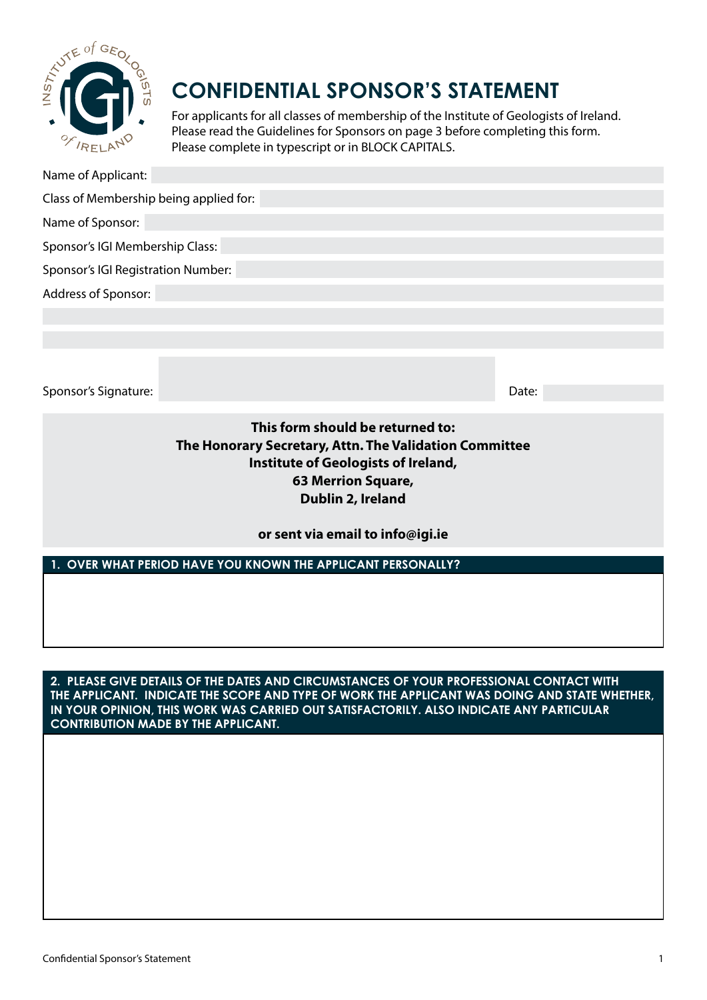

# **CONFIDENTIAL SPONSOR'S STATEMENT**

For applicants for all classes of membership of the Institute of Geologists of Ireland. Please read the Guidelines for Sponsors on page 3 before completing this form. Please complete in typescript or in BLOCK CAPITALS.

Name of Applicant:

Class of Membership being applied for:

Name of Sponsor:

Sponsor's IGI Membership Class:

Sponsor's IGI Registration Number:

Address of Sponsor:

Sponsor's Signature: Date:

**This form should be returned to: The Honorary Secretary, Attn. The Validation Committee Institute of Geologists of Ireland, 63 Merrion Square, Dublin 2, Ireland**

**or sent via email to info@igi.ie**

**1. OVER WHAT PERIOD HAVE YOU KNOWN THE APPLICANT PERSONALLY?**

**2. PLEASE GIVE DETAILS OF THE DATES AND CIRCUMSTANCES OF YOUR PROFESSIONAL CONTACT WITH THE APPLICANT. INDICATE THE SCOPE AND TYPE OF WORK THE APPLICANT WAS DOING AND STATE WHETHER, IN YOUR OPINION, THIS WORK WAS CARRIED OUT SATISFACTORILY. ALSO INDICATE ANY PARTICULAR CONTRIBUTION MADE BY THE APPLICANT.**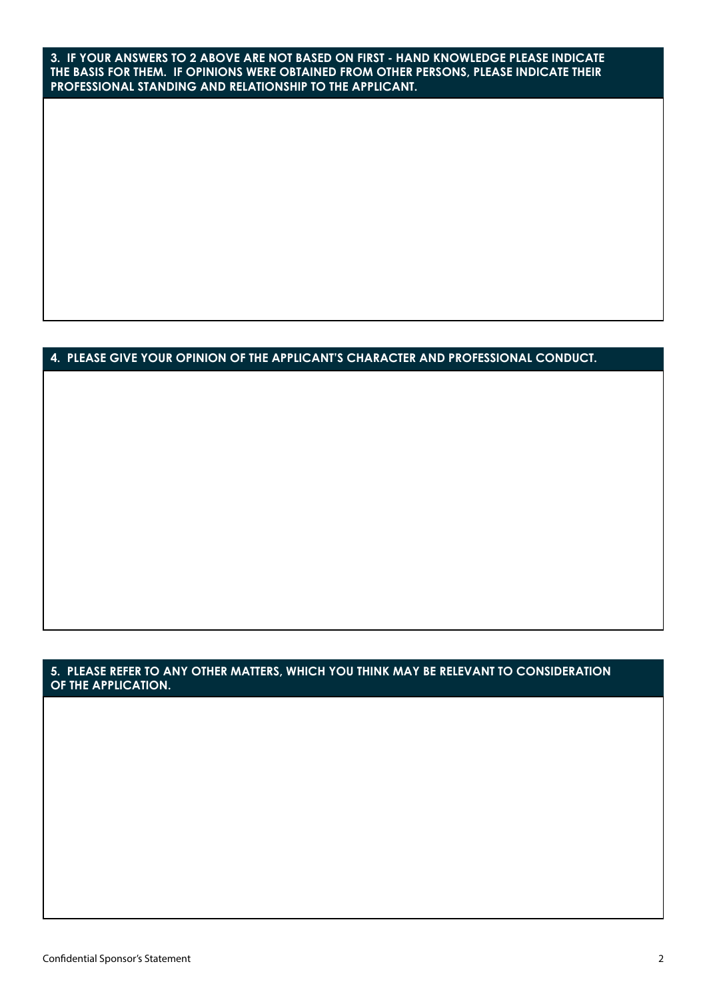**3. IF YOUR ANSWERS TO 2 ABOVE ARE NOT BASED ON FIRST - HAND KNOWLEDGE PLEASE INDICATE THE BASIS FOR THEM. IF OPINIONS WERE OBTAINED FROM OTHER PERSONS, PLEASE INDICATE THEIR PROFESSIONAL STANDING AND RELATIONSHIP TO THE APPLICANT.**

## **4. PLEASE GIVE YOUR OPINION OF THE APPLICANT'S CHARACTER AND PROFESSIONAL CONDUCT.**

### **5. PLEASE REFER TO ANY OTHER MATTERS, WHICH YOU THINK MAY BE RELEVANT TO CONSIDERATION OF THE APPLICATION.**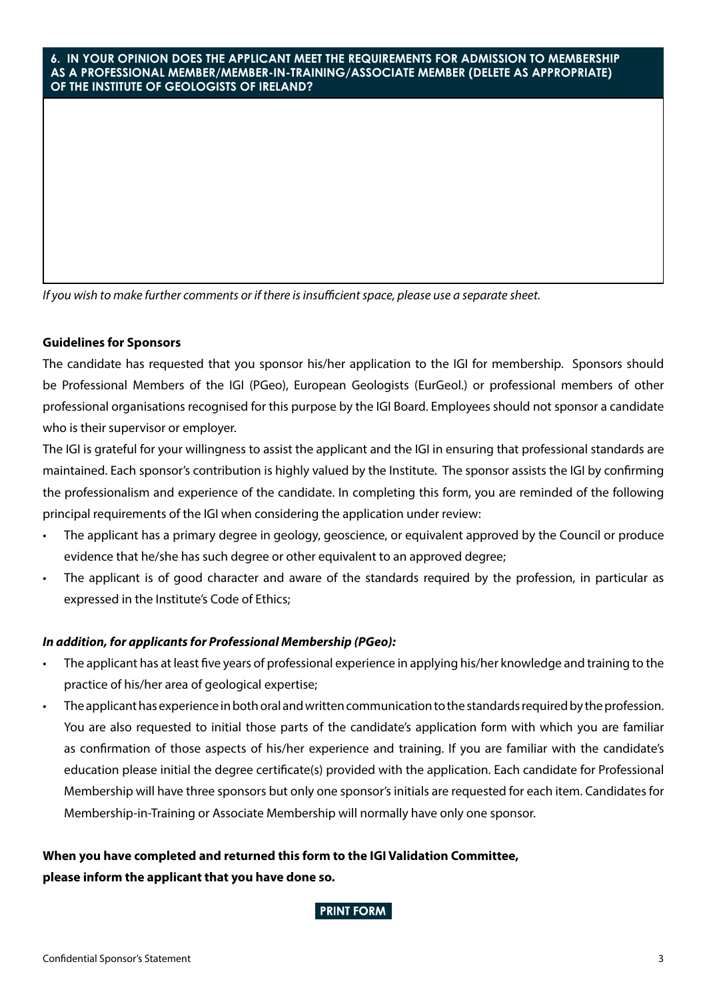#### **6. IN YOUR OPINION DOES THE APPLICANT MEET THE REQUIREMENTS FOR ADMISSION TO MEMBERSHIP AS A PROFESSIONAL MEMBER/MEMBER-IN-TRAINING/ASSOCIATE MEMBER (DELETE AS APPROPRIATE) OF THE INSTITUTE OF GEOLOGISTS OF IRELAND?**

*If you wish to make further comments or if there is insufficient space, please use a separate sheet.*

#### **Guidelines for Sponsors**

The candidate has requested that you sponsor his/her application to the IGI for membership. Sponsors should be Professional Members of the IGI (PGeo), European Geologists (EurGeol.) or professional members of other professional organisations recognised for this purpose by the IGI Board. Employees should not sponsor a candidate who is their supervisor or employer.

The IGI is grateful for your willingness to assist the applicant and the IGI in ensuring that professional standards are maintained. Each sponsor's contribution is highly valued by the Institute. The sponsor assists the IGI by confirming the professionalism and experience of the candidate. In completing this form, you are reminded of the following principal requirements of the IGI when considering the application under review:

- The applicant has a primary degree in geology, geoscience, or equivalent approved by the Council or produce evidence that he/she has such degree or other equivalent to an approved degree;
- The applicant is of good character and aware of the standards required by the profession, in particular as expressed in the Institute's Code of Ethics;

### *In addition, for applicants for Professional Membership (PGeo):*

- The applicant has at least five years of professional experience in applying his/her knowledge and training to the practice of his/her area of geological expertise;
- The applicant has experience in both oral and written communication to the standards required by the profession. You are also requested to initial those parts of the candidate's application form with which you are familiar as confirmation of those aspects of his/her experience and training. If you are familiar with the candidate's education please initial the degree certificate(s) provided with the application. Each candidate for Professional Membership will have three sponsors but only one sponsor's initials are requested for each item. Candidates for Membership-in-Training or Associate Membership will normally have only one sponsor.

## **When you have completed and returned this form to the IGI Validation Committee, please inform the applicant that you have done so.**

**PRINT FORM**